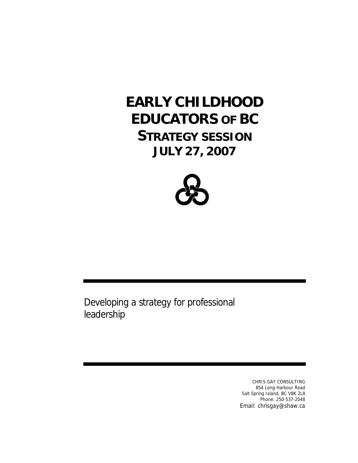## **EARLY CHILDHOOD EDUCATORS OF BC STRATEGY SESSION JULY 27, 2007**



Developing a strategy for professional leadership

> CHRIS GAY CONSULTING 854 Long Harbour Road Salt Spring Island, BC V8K 2L8 Phone: 250-537-2048 Email: chrisgay@shaw.ca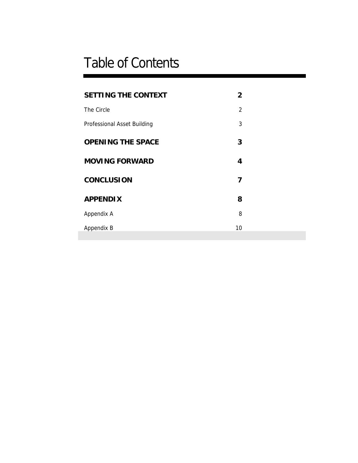# Table of Contents

| <b>SETTING THE CONTEXT</b>  | 2              |  |
|-----------------------------|----------------|--|
| The Circle                  | $\overline{2}$ |  |
| Professional Asset Building | 3              |  |
| <b>OPENING THE SPACE</b>    | 3              |  |
| <b>MOVING FORWARD</b>       | 4              |  |
| <b>CONCLUSION</b>           | 7              |  |
| <b>APPENDIX</b>             | 8              |  |
| Appendix A                  | 8              |  |
| Appendix B                  | 10             |  |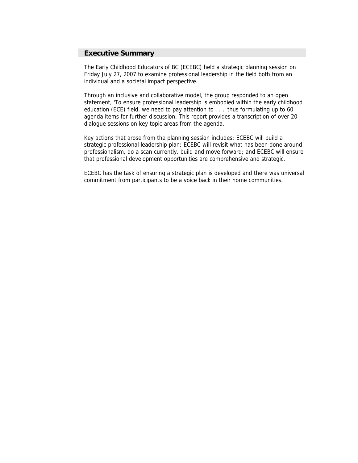## **Executive Summary**

The Early Childhood Educators of BC (ECEBC) held a strategic planning session on Friday July 27, 2007 to examine professional leadership in the field both from an individual and a societal impact perspective.

Through an inclusive and collaborative model, the group responded to an open statement, 'To ensure professional leadership is embodied within the early childhood education (ECE) field, we need to pay attention to . . .' thus formulating up to 60 agenda items for further discussion. This report provides a transcription of over 20 dialogue sessions on key topic areas from the agenda.

Key actions that arose from the planning session includes: ECEBC will build a strategic professional leadership plan; ECEBC will revisit what has been done around professionalism, do a scan currently, build and move forward; and ECEBC will ensure that professional development opportunities are comprehensive and strategic.

ECEBC has the task of ensuring a strategic plan is developed and there was universal commitment from participants to be a voice back in their home communities.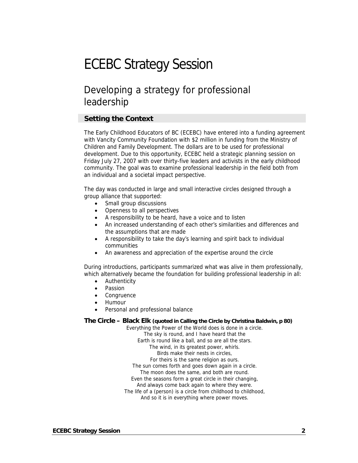## ECEBC Strategy Session

## Developing a strategy for professional leadership

## **Setting the Context**

The Early Childhood Educators of BC (ECEBC) have entered into a funding agreement with Vancity Community Foundation with \$2 million in funding from the Ministry of Children and Family Development. The dollars are to be used for professional development. Due to this opportunity, ECEBC held a strategic planning session on Friday July 27, 2007 with over thirty-five leaders and activists in the early childhood community. The goal was to examine professional leadership in the field both from an individual and a societal impact perspective.

The day was conducted in large and small interactive circles designed through a group alliance that supported:

- Small group discussions
- Openness to all perspectives
- A responsibility to be heard, have a voice and to listen
- An increased understanding of each other's similarities and differences and the assumptions that are made
- A responsibility to take the day's learning and spirit back to individual communities
- An awareness and appreciation of the expertise around the circle

During introductions, participants summarized what was alive in them professionally, which alternatively became the foundation for building professional leadership in all:

- Authenticity
- **Passion**
- **Congruence**
- Humour
- Personal and professional balance

#### **The Circle – Black Elk (quoted in Calling the Circle by Christina Baldwin, p 80)**

Everything the Power of the World does is done in a circle. The sky is round, and I have heard that the Earth is round like a ball, and so are all the stars. The wind, in its greatest power, whirls. Birds make their nests in circles, For theirs is the same religion as ours. The sun comes forth and goes down again in a circle. The moon does the same, and both are round. Even the seasons form a great circle in their changing, And always come back again to where they were. The life of a (person) is a circle from childhood to childhood, And so it is in everything where power moves.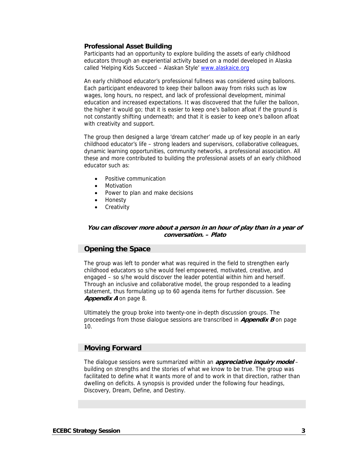#### **Professional Asset Building**

Participants had an opportunity to explore building the assets of early childhood educators through an experiential activity based on a model developed in Alaska called 'Helping Kids Succeed – Alaskan Style' [www.alaskaice.org](http://www.alaskaice.org/)

An early childhood educator's professional fullness was considered using balloons. Each participant endeavored to keep their balloon away from risks such as low wages, long hours, no respect, and lack of professional development, minimal education and increased expectations. It was discovered that the fuller the balloon, the higher it would go; that it is easier to keep one's balloon afloat if the ground is not constantly shifting underneath; and that it is easier to keep one's balloon afloat with creativity and support.

The group then designed a large 'dream catcher' made up of key people in an early childhood educator's life – strong leaders and supervisors, collaborative colleagues, dynamic learning opportunities, community networks, a professional association. All these and more contributed to building the professional assets of an early childhood educator such as:

- Positive communication
- **Motivation**
- Power to plan and make decisions
- Honesty
- **Creativity**

#### **You can discover more about a person in an hour of play than in a year of conversation. – Plato**

## **Opening the Space**

The group was left to ponder what was required in the field to strengthen early childhood educators so s/he would feel empowered, motivated, creative, and engaged – so s/he would discover the leader potential within him and herself. Through an inclusive and collaborative model, the group responded to a leading statement, thus formulating up to 60 agenda items for further discussion. See **Appendix A** on page 8.

Ultimately the group broke into twenty-one in-depth discussion groups. The proceedings from those dialogue sessions are transcribed in **Appendix B** on page 10.

## **Moving Forward**

The dialogue sessions were summarized within an **appreciative inquiry model** – building on strengths and the stories of what we know to be true. The group was facilitated to define what it wants more of and to work in that direction, rather than dwelling on deficits. A synopsis is provided under the following four headings, Discovery, Dream, Define, and Destiny.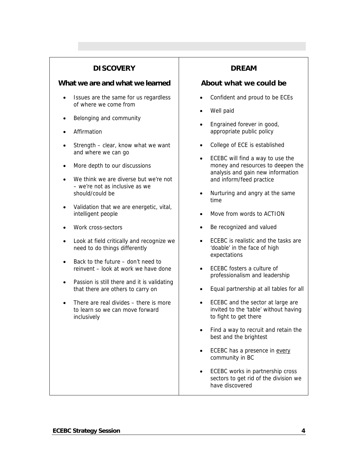## **DISCOVERY**

#### **What we are and what we learned**

- Issues are the same for us regardless of where we come from
- Belonging and community
- **Affirmation**
- Strength clear, know what we want and where we can go
- More depth to our discussions
- We think we are diverse but we're not – we're not as inclusive as we should/could be
- Validation that we are energetic, vital, intelligent people
- Work cross-sectors
- Look at field critically and recognize we need to do things differently
- Back to the future don't need to reinvent – look at work we have done
- Passion is still there and it is validating that there are others to carry on
- There are real divides there is more to learn so we can move forward inclusively

## **DREAM**

## **About what we could be**

- Confident and proud to be ECEs
- Well paid
- Engrained forever in good, appropriate public policy
- College of ECE is established
- ECEBC will find a way to use the money and resources to deepen the analysis and gain new information and inform/feed practice
- Nurturing and angry at the same time
- Move from words to ACTION
- Be recognized and valued
- ECEBC is realistic and the tasks are 'doable' in the face of high expectations
- ECEBC fosters a culture of professionalism and leadership
- Equal partnership at all tables for all
- ECEBC and the sector at large are invited to the 'table' without having to fight to get there
- Find a way to recruit and retain the best and the brightest
- ECEBC has a presence in every community in BC
- ECEBC works in partnership cross sectors to get rid of the division we have discovered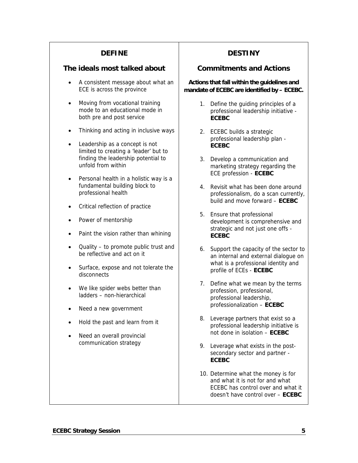## **DEFINE**

## **The ideals most talked about**

- A consistent message about what an ECE is across the province
- Moving from vocational training mode to an educational mode in both pre and post service
- Thinking and acting in inclusive ways
- Leadership as a concept is not limited to creating a 'leader' but to finding the leadership potential to unfold from within
- Personal health in a holistic way is a fundamental building block to professional health
- Critical reflection of practice
- Power of mentorship
- Paint the vision rather than whining
- Quality to promote public trust and be reflective and act on it
- Surface, expose and not tolerate the disconnects
- We like spider webs better than ladders – non-hierarchical
- Need a new government
- Hold the past and learn from it
- Need an overall provincial communication strategy

## **DESTINY**

## **Commitments and Actions**

#### **Actions that fall within the guidelines and mandate of ECEBC are identified by – ECEBC.**

- 1. Define the guiding principles of a professional leadership initiative - **ECEBC**
- 2. ECEBC builds a strategic professional leadership plan - **ECEBC**
- 3. Develop a communication and marketing strategy regarding the ECE profession - **ECEBC**
- 4. Revisit what has been done around professionalism, do a scan currently, build and move forward – **ECEBC**
- 5. Ensure that professional development is comprehensive and strategic and not just one offs - **ECEBC**
- 6. Support the capacity of the sector to an internal and external dialogue on what is a professional identity and profile of ECEs - **ECEBC**
- 7. Define what we mean by the terms profession, professional, professional leadership, professionalization – **ECEBC**
- 8. Leverage partners that exist so a professional leadership initiative is not done in isolation – **ECEBC**
- 9. Leverage what exists in the postsecondary sector and partner - **ECEBC**
- 10. Determine what the money is for and what it is not for and what ECEBC has control over and what it doesn't have control over – **ECEBC**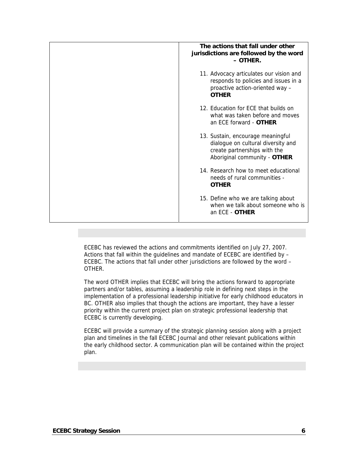| The actions that fall under other<br>jurisdictions are followed by the word<br>- OTHER.                                                 |
|-----------------------------------------------------------------------------------------------------------------------------------------|
| 11. Advocacy articulates our vision and<br>responds to policies and issues in a<br>proactive action-oriented way -<br><b>OTHER</b>      |
| 12. Education for ECE that builds on<br>what was taken before and moves<br>an FCF forward - <b>OTHER</b>                                |
| 13. Sustain, encourage meaningful<br>dialogue on cultural diversity and<br>create partnerships with the<br>Aboriginal community - OTHER |
| 14. Research how to meet educational<br>needs of rural communities -<br><b>OTHER</b>                                                    |
| 15. Define who we are talking about<br>when we talk about someone who is<br>an ECE - OTHER                                              |

ECEBC has reviewed the actions and commitments identified on July 27, 2007. Actions that fall within the guidelines and mandate of ECEBC are identified by – ECEBC. The actions that fall under other jurisdictions are followed by the word – OTHER.

The word OTHER implies that ECEBC will bring the actions forward to appropriate partners and/or tables, assuming a leadership role in defining next steps in the implementation of a professional leadership initiative for early childhood educators in BC. OTHER also implies that though the actions are important, they have a lesser priority within the current project plan on strategic professional leadership that ECEBC is currently developing.

ECEBC will provide a summary of the strategic planning session along with a project plan and timelines in the fall ECEBC Journal and other relevant publications within the early childhood sector. A communication plan will be contained within the project plan.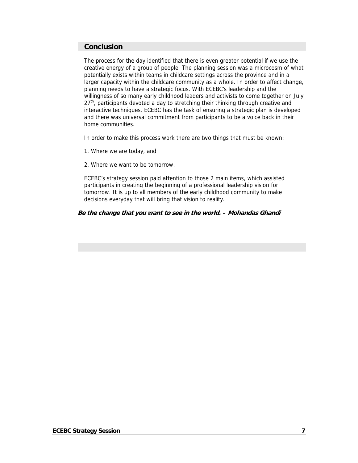## **Conclusion**

The process for the day identified that there is even greater potential if we use the creative energy of a group of people. The planning session was a microcosm of what potentially exists within teams in childcare settings across the province and in a larger capacity within the childcare community as a whole. In order to affect change, planning needs to have a strategic focus. With ECEBC's leadership and the willingness of so many early childhood leaders and activists to come together on July  $27<sup>th</sup>$ , participants devoted a day to stretching their thinking through creative and interactive techniques. ECEBC has the task of ensuring a strategic plan is developed and there was universal commitment from participants to be a voice back in their home communities.

In order to make this process work there are two things that must be known:

- 1. Where we are today, and
- 2. Where we want to be tomorrow.

ECEBC's strategy session paid attention to those 2 main items, which assisted participants in creating the beginning of a professional leadership vision for tomorrow. It is up to all members of the early childhood community to make decisions everyday that will bring that vision to reality.

#### **Be the change that you want to see in the world. – Mohandas Ghandi**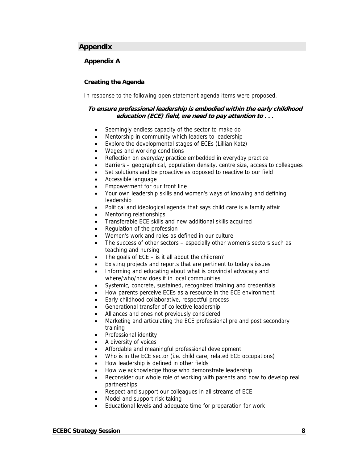## **Appendix**

#### **Appendix A**

#### **Creating the Agenda**

In response to the following open statement agenda items were proposed.

#### **To ensure professional leadership is embodied within the early childhood education (ECE) field, we need to pay attention to . . .**

- Seemingly endless capacity of the sector to make do
- Mentorship in community which leaders to leadership
- Explore the developmental stages of ECEs (Lillian Katz)
- Wages and working conditions
- Reflection on everyday practice embedded in everyday practice
- Barriers geographical, population density, centre size, access to colleagues
- Set solutions and be proactive as opposed to reactive to our field
- Accessible language
- Empowerment for our front line
- Your own leadership skills and women's ways of knowing and defining leadership
- Political and ideological agenda that says child care is a family affair
- Mentoring relationships
- Transferable ECE skills and new additional skills acquired
- Regulation of the profession
- Women's work and roles as defined in our culture
- The success of other sectors especially other women's sectors such as teaching and nursing
- The goals of  $ECE is$  it all about the children?
- Existing projects and reports that are pertinent to today's issues
- Informing and educating about what is provincial advocacy and where/who/how does it in local communities
- Systemic, concrete, sustained, recognized training and credentials
- How parents perceive ECEs as a resource in the ECE environment
- Early childhood collaborative, respectful process
- Generational transfer of collective leadership
- Alliances and ones not previously considered
- Marketing and articulating the ECE professional pre and post secondary training
- Professional identity
- A diversity of voices
- Affordable and meaningful professional development
- Who is in the ECE sector (i.e. child care, related ECE occupations)
- How leadership is defined in other fields
- How we acknowledge those who demonstrate leadership
- Reconsider our whole role of working with parents and how to develop real partnerships
- Respect and support our colleagues in all streams of ECE
- Model and support risk taking
- Educational levels and adequate time for preparation for work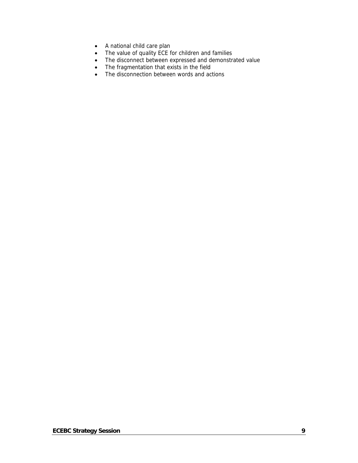- A national child care plan
- The value of quality ECE for children and families
- The disconnect between expressed and demonstrated value
- The fragmentation that exists in the field
- The disconnection between words and actions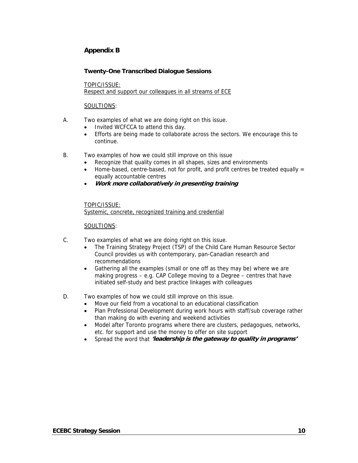## **Appendix B**

#### **Twenty-One Transcribed Dialogue Sessions**

TOPIC/ISSUE: Respect and support our colleagues in all streams of ECE

#### SOULTIONS:

- A. Two examples of what we are doing right on this issue.
	- Invited WCFCCA to attend this day.
	- Efforts are being made to collaborate across the sectors. We encourage this to continue.
- B. Two examples of how we could still improve on this issue
	- Recognize that quality comes in all shapes, sizes and environments
	- Home-based, centre-based, not for profit, and profit centres be treated equally  $=$ equally accountable centres
	- **Work more collaboratively in presenting training**

#### TOPIC/ISSUE:

Systemic, concrete, recognized training and credential

- C. Two examples of what we are doing right on this issue.
	- The Training Strategy Project (TSP) of the Child Care Human Resource Sector Council provides us with contemporary, pan-Canadian research and recommendations
	- Gathering all the examples (small or one off as they may be) where we are making progress – e.g. CAP College moving to a Degree – centres that have initiated self-study and best practice linkages with colleagues
- D. Two examples of how we could still improve on this issue.
	- Move our field from a vocational to an educational classification
	- Plan Professional Development during work hours with staff/sub coverage rather than making do with evening and weekend activities
	- Model after Toronto programs where there are clusters, pedagogues, networks, etc. for support and use the money to offer on site support
	- Spread the word that **'leadership is the gateway to quality in programs'**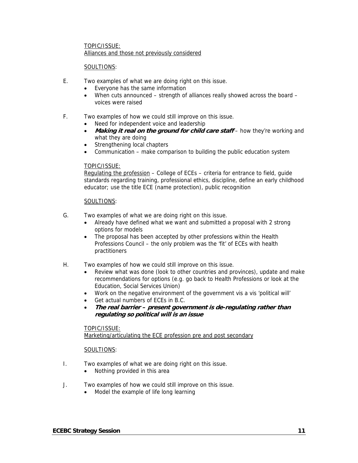#### TOPIC/ISSUE: Alliances and those not previously considered

#### SOULTIONS:

- E. Two examples of what we are doing right on this issue.
	- Everyone has the same information
	- When cuts announced strength of alliances really showed across the board voices were raised
- F. Two examples of how we could still improve on this issue.
	- Need for independent voice and leadership
	- Making it real on the ground for child care staff how they're working and what they are doing
	- Strengthening local chapters
	- Communication make comparison to building the public education system

#### TOPIC/ISSUE:

Regulating the profession – College of ECEs – criteria for entrance to field, guide standards regarding training, professional ethics, discipline, define an early childhood educator; use the title ECE (name protection), public recognition

#### SOULTIONS:

- G. Two examples of what we are doing right on this issue.
	- Already have defined what we want and submitted a proposal with 2 strong options for models
	- The proposal has been accepted by other professions within the Health Professions Council – the only problem was the 'fit' of ECEs with health practitioners
- H. Two examples of how we could still improve on this issue.
	- Review what was done (look to other countries and provinces), update and make recommendations for options (e.g. go back to Health Professions or look at the Education, Social Services Union)
	- Work on the negative environment of the government vis a vis 'political will'
	- Get actual numbers of ECEs in B.C.
	- **The real barrier present government is de-regulating rather than regulating so political will is an issue**

#### TOPIC/ISSUE: Marketing/articulating the ECE profession pre and post secondary

- I. Two examples of what we are doing right on this issue.
	- Nothing provided in this area
- J. Two examples of how we could still improve on this issue.
	- Model the example of life long learning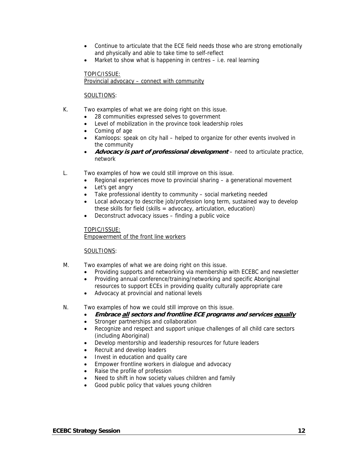- Continue to articulate that the ECE field needs those who are strong emotionally and physically and able to take time to self-reflect
- Market to show what is happening in centres i.e. real learning

#### TOPIC/ISSUE: Provincial advocacy – connect with community

#### SOULTIONS:

- K. Two examples of what we are doing right on this issue.
	- 28 communities expressed selves to government
	- Level of mobilization in the province took leadership roles
	- Coming of age
	- Kamloops: speak on city hall helped to organize for other events involved in the community
	- **Advocacy is part of professional development** need to articulate practice, network
- L. Two examples of how we could still improve on this issue.
	- Regional experiences move to provincial sharing a generational movement
	- Let's get angry
	- Take professional identity to community social marketing needed
	- Local advocacy to describe job/profession long term, sustained way to develop these skills for field (skills = advocacy, articulation, education)
	- Deconstruct advocacy issues finding a public voice

#### TOPIC/ISSUE: Empowerment of the front line workers

- M. Two examples of what we are doing right on this issue.
	- Providing supports and networking via membership with ECEBC and newsletter
	- Providing annual conference/training/networking and specific Aboriginal resources to support ECEs in providing quality culturally appropriate care
	- Advocacy at provincial and national levels
- N. Two examples of how we could still improve on this issue.
	- **Embrace all sectors and frontline ECE programs and services equally**
	- Stronger partnerships and collaboration
	- Recognize and respect and support unique challenges of all child care sectors (including Aboriginal)
	- Develop mentorship and leadership resources for future leaders
	- Recruit and develop leaders
	- Invest in education and quality care
	- Empower frontline workers in dialogue and advocacy
	- Raise the profile of profession
	- Need to shift in how society values children and family
	- Good public policy that values young children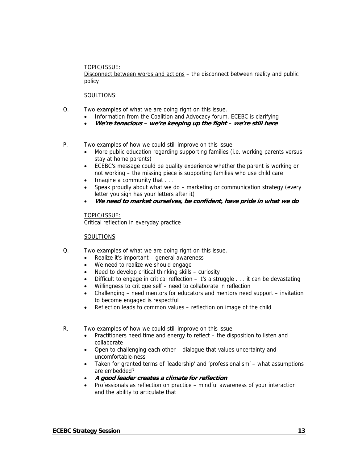#### TOPIC/ISSUE:

Disconnect between words and actions – the disconnect between reality and public policy

#### SOULTIONS:

- O. Two examples of what we are doing right on this issue.
	- Information from the Coalition and Advocacy forum, ECEBC is clarifying
	- **We're tenacious we're keeping up the fight we're still here**
- P. Two examples of how we could still improve on this issue.
	- More public education regarding supporting families (i.e. working parents versus stay at home parents)
	- ECEBC's message could be quality experience whether the parent is working or not working – the missing piece is supporting families who use child care
	- Imagine a community that . . .
	- Speak proudly about what we do marketing or communication strategy (every letter you sign has your letters after it)
	- **We need to market ourselves, be confident, have pride in what we do**

#### TOPIC/ISSUE: Critical reflection in everyday practice

- Q. Two examples of what we are doing right on this issue.
	- Realize it's important general awareness
	- We need to realize we should engage
	- Need to develop critical thinking skills curiosity
	- Difficult to engage in critical reflection it's a struggle . . . it can be devastating
	- Willingness to critique self need to collaborate in reflection
	- Challenging need mentors for educators and mentors need support invitation to become engaged is respectful
	- Reflection leads to common values reflection on image of the child
- R. Two examples of how we could still improve on this issue.
	- Practitioners need time and energy to reflect the disposition to listen and collaborate
	- Open to challenging each other dialogue that values uncertainty and uncomfortable-ness
	- Taken for granted terms of 'leadership' and 'professionalism' what assumptions are embedded?
	- **A good leader creates a climate for reflection**
	- Professionals as reflection on practice mindful awareness of your interaction and the ability to articulate that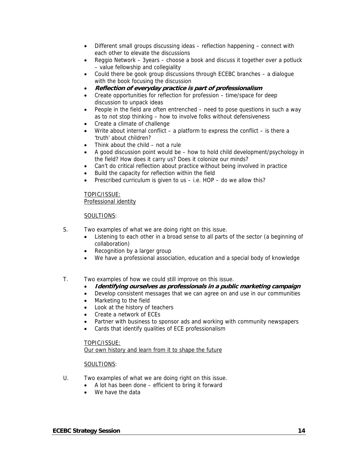- Different small groups discussing ideas reflection happening connect with each other to elevate the discussions
- Reggio Network 3years choose a book and discuss it together over a potluck – value fellowship and collegiality
- Could there be gook group discussions through ECEBC branches a dialogue with the book focusing the discussion
- **Reflection of everyday practice is part of professionalism**
- Create opportunities for reflection for profession time/space for deep discussion to unpack ideas
- People in the field are often entrenched need to pose questions in such a way as to not stop thinking – how to involve folks without defensiveness
- Create a climate of challenge
- Write about internal conflict a platform to express the conflict is there a 'truth' about children?
- Think about the child not a rule
- A good discussion point would be how to hold child development/psychology in the field? How does it carry us? Does it colonize our minds?
- Can't do critical reflection about practice without being involved in practice
- Build the capacity for reflection within the field
- Prescribed curriculum is given to us i.e. HOP do we allow this?

#### TOPIC/ISSUE: Professional identity

#### SOULTIONS:

- S. Two examples of what we are doing right on this issue.
	- Listening to each other in a broad sense to all parts of the sector (a beginning of collaboration)
	- Recognition by a larger group
	- We have a professional association, education and a special body of knowledge
- T. Two examples of how we could still improve on this issue.
	- **Identifying ourselves as professionals in a public marketing campaign**
	- Develop consistent messages that we can agree on and use in our communities
	- Marketing to the field
	- Look at the history of teachers
	- Create a network of ECEs
	- Partner with business to sponsor ads and working with community newspapers
	- Cards that identify qualities of ECE professionalism

#### TOPIC/ISSUE:

Our own history and learn from it to shape the future

- U. Two examples of what we are doing right on this issue.
	- A lot has been done efficient to bring it forward
	- We have the data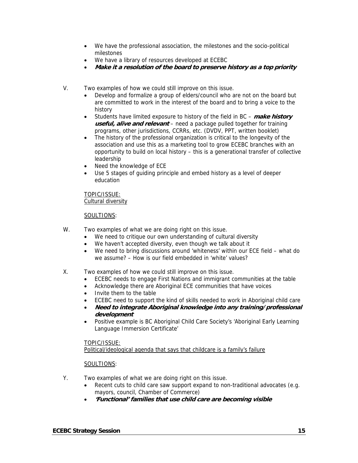- We have the professional association, the milestones and the socio-political milestones
- We have a library of resources developed at ECEBC
- **Make it a resolution of the board to preserve history as a top priority**
- V. Two examples of how we could still improve on this issue.
	- Develop and formalize a group of elders/council who are not on the board but are committed to work in the interest of the board and to bring a voice to the history
	- Students have limited exposure to history of the field in BC **make history useful, alive and relevant** – need a package pulled together for training programs, other jurisdictions, CCRRs, etc. (DVDV, PPT, written booklet)
	- The history of the professional organization is critical to the longevity of the association and use this as a marketing tool to grow ECEBC branches with an opportunity to build on local history – this is a generational transfer of collective leadership
	- Need the knowledge of ECE
	- Use 5 stages of guiding principle and embed history as a level of deeper education

TOPIC/ISSUE: Cultural diversity

#### SOULTIONS:

- W. Two examples of what we are doing right on this issue.
	- We need to critique our own understanding of cultural diversity
	- We haven't accepted diversity, even though we talk about it
	- We need to bring discussions around 'whiteness' within our ECE field what do we assume? – How is our field embedded in 'white' values?
- X. Two examples of how we could still improve on this issue.
	- ECEBC needs to engage First Nations and immigrant communities at the table
	- Acknowledge there are Aboriginal ECE communities that have voices
	- Invite them to the table
	- ECEBC need to support the kind of skills needed to work in Aboriginal child care
	- **Need to integrate Aboriginal knowledge into any training/professional development**
	- Positive example is BC Aboriginal Child Care Society's 'Aboriginal Early Learning Language Immersion Certificate'

#### TOPIC/ISSUE:

Political/ideological agenda that says that childcare is a family's failure

- Y. Two examples of what we are doing right on this issue.
	- Recent cuts to child care saw support expand to non-traditional advocates (e.g. mayors, council, Chamber of Commerce)
	- **'Functional' families that use child care are becoming visible**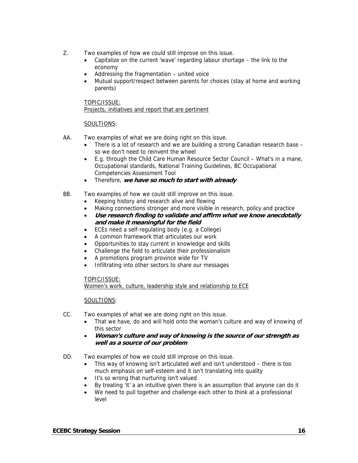- Z. Two examples of how we could still improve on this issue.
	- Capitalize on the current 'wave' regarding labour shortage the link to the economy
	- Addressing the fragmentation united voice
	- Mutual support/respect between parents for choices (stay at home and working parents)

TOPIC/ISSUE: Projects, initiatives and report that are pertinent

### SOULTIONS:

- AA. Two examples of what we are doing right on this issue.
	- There is a lot of research and we are building a strong Canadian research base so we don't need to reinvent the wheel
	- E.g. through the Child Care Human Resource Sector Council What's in a mane, Occupational standards, National Training Guidelines, BC Occupational Competencies Assessment Tool
	- Therefore, **we have so much to start with already**

### BB. Two examples of how we could still improve on this issue.

- Keeping history and research alive and flowing
- Making connections stronger and more visible in research, policy and practice
- **Use research finding to validate and affirm what we know anecdotally and make it meaningful for the field**
- ECEs need a self-regulating body (e.g. a College)
- A common framework that articulates our work
- Opportunities to stay current in knowledge and skills
- Challenge the field to articulate their professionalism
- A promotions program province wide for TV
- Infiltrating into other sectors to share our messages

#### TOPIC/ISSUE:

Women's work, culture, leadership style and relationship to ECE

- CC. Two examples of what we are doing right on this issue.
	- That we have, do and will hold onto the woman's culture and way of knowing of this sector
	- **Woman's culture and way of knowing is the source of our strength as well as a source of our problem**
- DD. Two examples of how we could still improve on this issue.
	- This way of knowing isn't articulated well and isn't understood there is too much emphasis on self-esteem and it isn't translating into quality
	- It's so wrong that nurturing isn't valued
	- By treating 'it' a an intuitive given there is an assumption that anyone can do it
	- We need to pull together and challenge each other to think at a professional level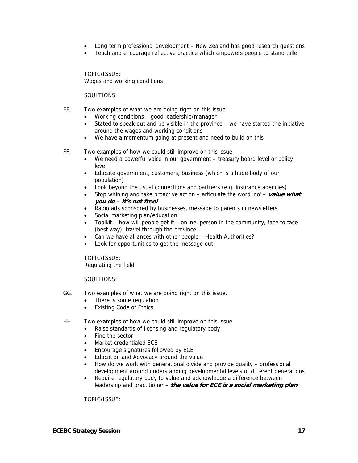- Long term professional development New Zealand has good research questions
- Teach and encourage reflective practice which empowers people to stand taller

#### TOPIC/ISSUE: Wages and working conditions

#### SOULTIONS:

- EE. Two examples of what we are doing right on this issue.
	- Working conditions good leadership/manager
	- Stated to speak out and be visible in the province  $-$  we have started the initiative around the wages and working conditions
	- We have a momentum going at present and need to build on this
- FF. Two examples of how we could still improve on this issue.
	- We need a powerful voice in our government treasury board level or policy level
	- Educate government, customers, business (which is a huge body of our population)
	- Look beyond the usual connections and partners (e.g. insurance agencies)
	- Stop whining and take proactive action articulate the word 'no' **value what you do – it's not free!**
	- Radio ads sponsored by businesses, message to parents in newsletters
	- Social marketing plan/education
	- Toolkit how will people get it online, person in the community, face to face (best way), travel through the province
	- Can we have alliances with other people Health Authorities?
	- Look for opportunities to get the message out

TOPIC/ISSUE: Regulating the field

#### SOULTIONS:

- GG. Two examples of what we are doing right on this issue.
	- There is some regulation
	- **Existing Code of Ethics**
- HH. Two examples of how we could still improve on this issue.
	- Raise standards of licensing and regulatory body
	- Fine the sector
	- Market credentialed ECE
	- Encourage signatures followed by ECE
	- Education and Advocacy around the value
	- How do we work with generational divide and provide quality professional development around understanding developmental levels of different generations
	- Require regulatory body to value and acknowledge a difference between leadership and practitioner – **the value for ECE is a social marketing plan**

#### TOPIC/ISSUE: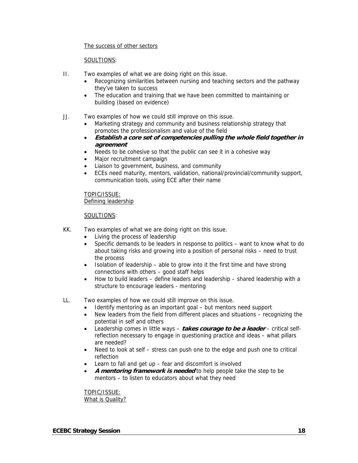#### The success of other sectors

#### SOULTIONS:

- II. Two examples of what we are doing right on this issue.
	- Recognizing similarities between nursing and teaching sectors and the pathway they've taken to success
	- The education and training that we have been committed to maintaining or building (based on evidence)
- JJ. Two examples of how we could still improve on this issue.
	- Marketing strategy and community and business relationship strategy that promotes the professionalism and value of the field
	- **Establish a core set of competencies pulling the whole field together in agreement**
	- Needs to be cohesive so that the public can see it in a cohesive way
	- Major recruitment campaign
	- Liaison to government, business, and community
	- ECEs need maturity, mentors, validation, national/provincial/community support, communication tools, using ECE after their name

TOPIC/ISSUE: Defining leadership

#### SOULTIONS:

- KK. Two examples of what we are doing right on this issue.
	- Living the process of leadership
	- Specific demands to be leaders in response to politics want to know what to do about taking risks and growing into a position of personal risks – need to trust the process
	- Isolation of leadership able to grow into it the first time and have strong connections with others – good staff helps
	- How to build leaders define leaders and leadership shared leadership with a structure to encourage leaders - mentoring

#### LL. Two examples of how we could still improve on this issue.

- Identify mentoring as an important goal but mentors need support
- New leaders from the field from different places and situations recognizing the potential in self and others
- Leadership comes in little ways **takes courage to be a leader** critical selfreflection necessary to engage in questioning practice and ideas – what pillars are needed?
- Need to look at self stress can push one to the edge and push one to critical reflection
- Learn to fall and get up fear and discomfort is involved
- **A mentoring framework is needed** to help people take the step to be mentors – to listen to educators about what they need

TOPIC/ISSUE: What is Quality?